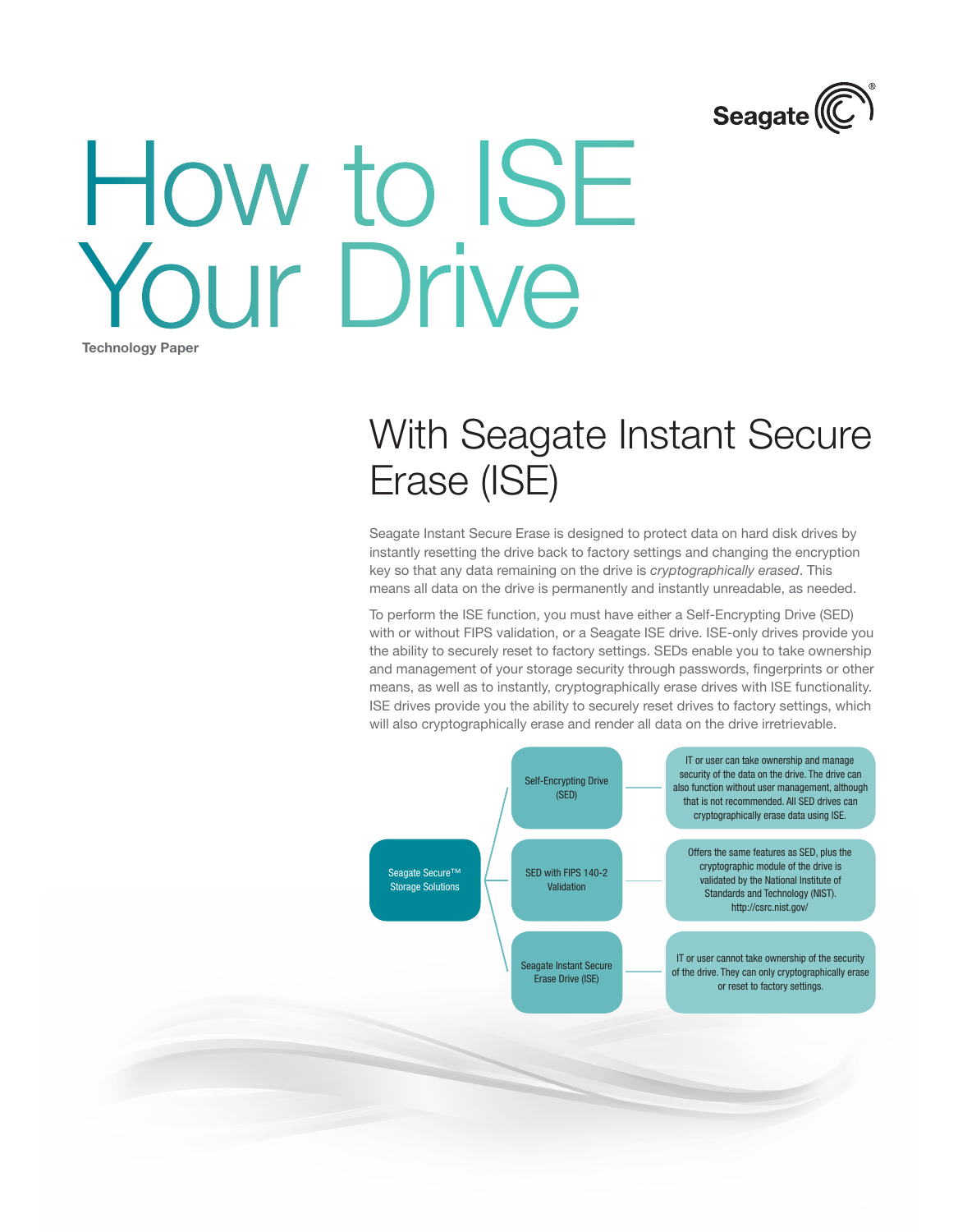

# How to ISE Your Drive Technology Paper

## With Seagate Instant Secure Erase (ISE)

Seagate Instant Secure Erase is designed to protect data on hard disk drives by instantly resetting the drive back to factory settings and changing the encryption key so that any data remaining on the drive is *cryptographically erased*. This means all data on the drive is permanently and instantly unreadable, as needed.

To perform the ISE function, you must have either a Self-Encrypting Drive (SED) with or without FIPS validation, or a Seagate ISE drive. ISE-only drives provide you the ability to securely reset to factory settings. SEDs enable you to take ownership and management of your storage security through passwords, fingerprints or other means, as well as to instantly, cryptographically erase drives with ISE functionality. ISE drives provide you the ability to securely reset drives to factory settings, which will also cryptographically erase and render all data on the drive irretrievable.

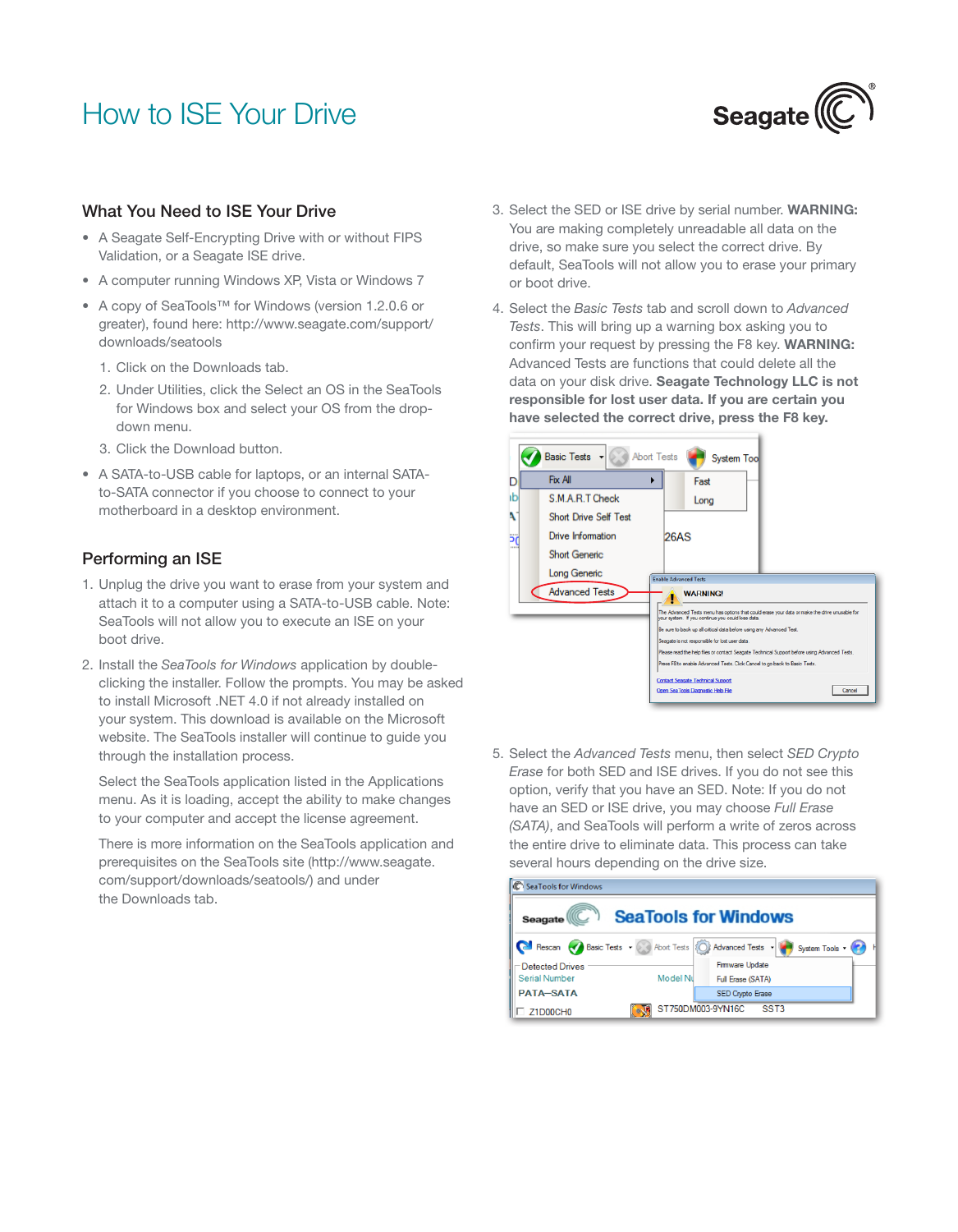## How to ISE Your Drive



#### What You Need to ISE Your Drive

- A Seagate Self-Encrypting Drive with or without FIPS Validation, or a Seagate ISE drive.
- A computer running Windows XP, Vista or Windows 7
- A copy of SeaTools™ for Windows (version 1.2.0.6 or greater), found here: http://www.seagate.com/support/ downloads/seatools
	- 1. Click on the Downloads tab.
	- 2. Under Utilities, click the Select an OS in the SeaTools for Windows box and select your OS from the dropdown menu.
	- 3. Click the Download button.
- A SATA-to-USB cable for laptops, or an internal SATAto-SATA connector if you choose to connect to your motherboard in a desktop environment.

#### Performing an ISE

- 1. Unplug the drive you want to erase from your system and attach it to a computer using a SATA-to-USB cable. Note: SeaTools will not allow you to execute an ISE on your boot drive.
- 2. Install the *SeaTools for Windows* application by doubleclicking the installer. Follow the prompts. You may be asked to install Microsoft .NET 4.0 if not already installed on your system. This download is available on the Microsoft website. The SeaTools installer will continue to guide you through the installation process.

Select the SeaTools application listed in the Applications menu. As it is loading, accept the ability to make changes to your computer and accept the license agreement.

There is more information on the SeaTools application and prerequisites on the SeaTools site (http://www.seagate. com/support/downloads/seatools/) and under the Downloads tab.

- 3. Select the SED or ISE drive by serial number. WARNING: You are making completely unreadable all data on the drive, so make sure you select the correct drive. By default, SeaTools will not allow you to erase your primary or boot drive.
- 4. Select the *Basic Tests* tab and scroll down to *Advanced Tests*. This will bring up a warning box asking you to confirm your request by pressing the F8 key. WARNING: Advanced Tests are functions that could delete all the data on your disk drive. Seagate Technology LLC is not responsible for lost user data. If you are certain you have selected the correct drive, press the F8 key.



5. Select the *Advanced Tests* menu, then select *SED Crypto Erase* for both SED and ISE drives. If you do not see this option, verify that you have an SED. Note: If you do not have an SED or ISE drive, you may choose *Full Erase (SATA)*, and SeaTools will perform a write of zeros across the entire drive to eliminate data. This process can take several hours depending on the drive size.